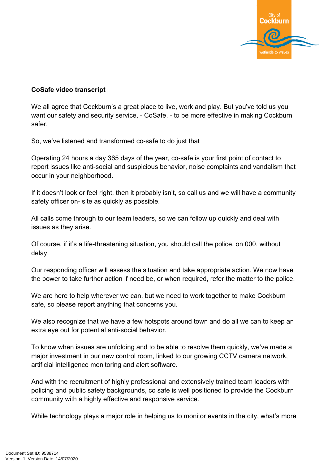

## **CoSafe video transcript**

We all agree that Cockburn's a great place to live, work and play. But you've told us you want our safety and security service, - CoSafe, - to be more effective in making Cockburn safer.

So, we've listened and transformed co-safe to do just that

Operating 24 hours a day 365 days of the year, co-safe is your first point of contact to report issues like anti-social and suspicious behavior, noise complaints and vandalism that occur in your neighborhood.

If it doesn't look or feel right, then it probably isn't, so call us and we will have a community safety officer on- site as quickly as possible.

All calls come through to our team leaders, so we can follow up quickly and deal with issues as they arise.

Of course, if it's a life-threatening situation, you should call the police, on 000, without delay.

Our responding officer will assess the situation and take appropriate action. We now have the power to take further action if need be, or when required, refer the matter to the police.

We are here to help wherever we can, but we need to work together to make Cockburn safe, so please report anything that concerns you.

We also recognize that we have a few hotspots around town and do all we can to keep an extra eye out for potential anti-social behavior.

To know when issues are unfolding and to be able to resolve them quickly, we've made a major investment in our new control room, linked to our growing CCTV camera network, artificial intelligence monitoring and alert software.

And with the recruitment of highly professional and extensively trained team leaders with policing and public safety backgrounds, co safe is well positioned to provide the Cockburn community with a highly effective and responsive service.

While technology plays a major role in helping us to monitor events in the city, what's more